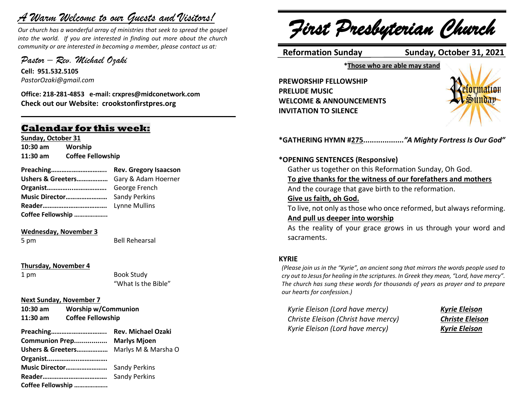# *A Warm Welcome to our Guests and Visitors!*

*Our church has a wonderful array of ministries that seek to spread the gospel into the world. If you are interested in finding out more about the church community or are interested in becoming a member, please contact us at:*

**\_\_\_\_\_\_\_\_\_\_\_\_\_\_\_\_\_\_\_\_\_\_\_\_\_\_\_\_\_\_\_\_\_\_\_\_\_\_\_\_\_\_\_\_\_\_\_\_\_\_\_\_\_\_**

*Pastor – Rev. Michael Ozaki* 

**Cell: 951.532.5105** *PastorOzaki@gmail.com*

**Office: 218-281-4853 e-mail: crxpres@midconetwork.com Check out our Website: crookstonfirstpres.org**

## **Calendar for this week:**

**Sunday, October 31 10:30 am Worship 11:30 am Coffee Fellowship**

| Preaching Rev. Gregory Isaacson       |  |
|---------------------------------------|--|
| Ushers & Greeters Gary & Adam Hoerner |  |
|                                       |  |
|                                       |  |
|                                       |  |
| Coffee Fellowship                     |  |

#### **Wednesday, November 3**

5 pm Bell Rehearsal

#### **Thursday, November 4**

1 pm Book Study "What Is the Bible"

#### **Next Sunday, November 7**

**10:30 am Worship w/Communion 11:30 am Coffee Fellowship** 

| Communion Prep Marlys Mjoen           |  |
|---------------------------------------|--|
| Ushers & Greeters Marlys M & Marsha O |  |
| Organist                              |  |
| Music Director Sandy Perkins          |  |
|                                       |  |
| Coffee Fellowship                     |  |

*First Presbyterian Church*

 **Reformation Sunday Sunday, October 31, 2021**

**\*Those who are able may stand**

**PREWORSHIP FELLOWSHIP PRELUDE MUSIC WELCOME & ANNOUNCEMENTS INVITATION TO SILENCE**



**\*GATHERING HYMN #275...................***"A Mighty Fortress Is Our God"* 

#### **\*OPENING SENTENCES (Responsive)**

Gather us together on this Reformation Sunday, Oh God.

#### **To give thanks for the witness of our forefathers and mothers**

And the courage that gave birth to the reformation.

#### **Give us faith, oh God.**

To live, not only as those who once reformed, but always reforming. **And pull us deeper into worship**

### As the reality of your grace grows in us through your word and sacraments.

#### **KYRIE**

*(Please join us in the "Kyrie", an ancient song that mirrors the words people used to cry out to Jesus for healing in the scriptures. In Greek they mean, "Lord, have mercy". The church has sung these words for thousands of years as prayer and to prepare our hearts for confession.)*

*Kyrie Eleison (Lord have mercy) Kyrie Eleison Christe Eleison (Christ have mercy) Christe Eleison Kyrie Eleison (Lord have mercy) Kyrie Eleison*